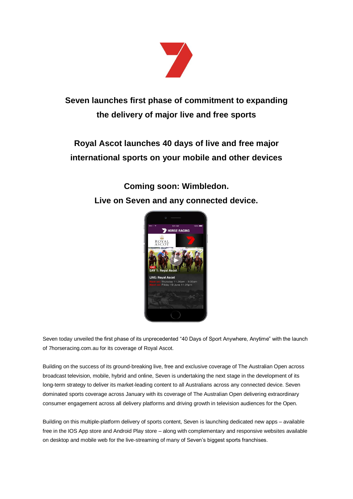

## **Seven launches first phase of commitment to expanding the delivery of major live and free sports**

# **Royal Ascot launches 40 days of live and free major international sports on your mobile and other devices**

### **Coming soon: Wimbledon. Live on Seven and any connected device.**



Seven today unveiled the first phase of its unprecedented "40 Days of Sport Anywhere, Anytime" with the launch of 7horseracing.com.au for its coverage of Royal Ascot.

Building on the success of its ground-breaking live, free and exclusive coverage of The Australian Open across broadcast television, mobile, hybrid and online, Seven is undertaking the next stage in the development of its long-term strategy to deliver its market-leading content to all Australians across any connected device. Seven dominated sports coverage across January with its coverage of The Australian Open delivering extraordinary consumer engagement across all delivery platforms and driving growth in television audiences for the Open.

Building on this multiple-platform delivery of sports content, Seven is launching dedicated new apps – available free in the IOS App store and Android Play store – along with complementary and responsive websites available on desktop and mobile web for the live-streaming of many of Seven's biggest sports franchises.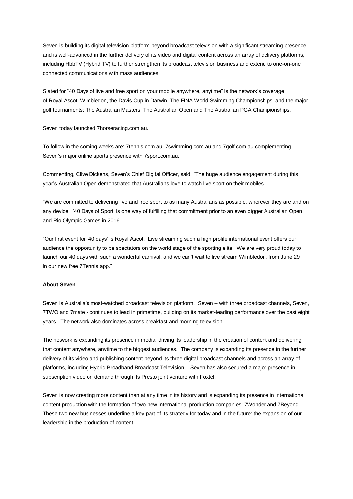Seven is building its digital television platform beyond broadcast television with a significant streaming presence and is well-advanced in the further delivery of its video and digital content across an array of delivery platforms, including HbbTV (Hybrid TV) to further strengthen its broadcast television business and extend to one-on-one connected communications with mass audiences.

Slated for "40 Days of live and free sport on your mobile anywhere, anytime" is the network's coverage of Royal Ascot, Wimbledon, the Davis Cup in Darwin, The FINA World Swimming Championships, and the major golf tournaments: The Australian Masters, The Australian Open and The Australian PGA Championships.

Seven today launched 7horseracing.com.au.

To follow in the coming weeks are: 7tennis.com.au, 7swimming.com.au and 7golf.com.au complementing Seven's major online sports presence with 7sport.com.au.

Commenting, Clive Dickens, Seven's Chief Digital Officer, said: "The huge audience engagement during this year's Australian Open demonstrated that Australians love to watch live sport on their mobiles.

"We are committed to delivering live and free sport to as many Australians as possible, wherever they are and on any device. '40 Days of Sport' is one way of fulfilling that commitment prior to an even bigger Australian Open and Rio Olympic Games in 2016.

"Our first event for '40 days' is Royal Ascot. Live streaming such a high profile international event offers our audience the opportunity to be spectators on the world stage of the sporting elite. We are very proud today to launch our 40 days with such a wonderful carnival, and we can't wait to live stream Wimbledon, from June 29 in our new free 7Tennis app."

### **About Seven**

Seven is Australia's most-watched broadcast television platform. Seven – with three broadcast channels, Seven, 7TWO and 7mate - continues to lead in primetime, building on its market-leading performance over the past eight years. The network also dominates across breakfast and morning television.

The network is expanding its presence in media, driving its leadership in the creation of content and delivering that content anywhere, anytime to the biggest audiences. The company is expanding its presence in the further delivery of its video and publishing content beyond its three digital broadcast channels and across an array of platforms, including Hybrid Broadband Broadcast Television. Seven has also secured a major presence in subscription video on demand through its Presto joint venture with Foxtel.

Seven is now creating more content than at any time in its history and is expanding its presence in international content production with the formation of two new international production companies: 7Wonder and 7Beyond. These two new businesses underline a key part of its strategy for today and in the future: the expansion of our leadership in the production of content.